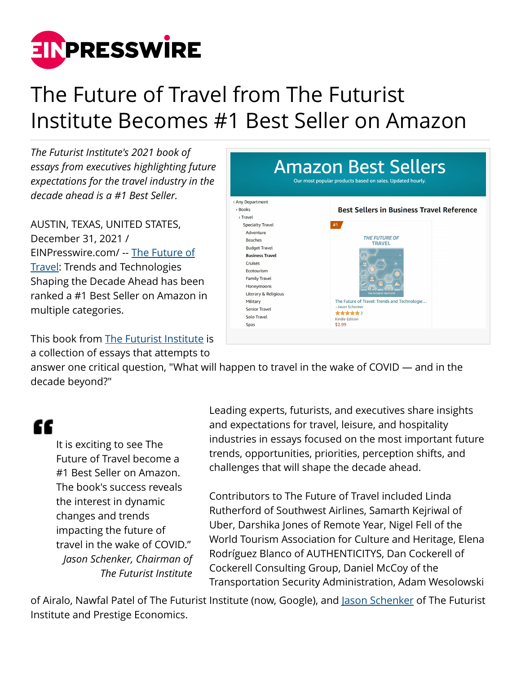

## The Future of Travel from The Futurist Institute Becomes #1 Best Seller on Amazon

*The Futurist Institute's 2021 book of essays from executives highlighting future expectations for the travel industry in the decade ahead is a #1 Best Seller.*

AUSTIN, TEXAS, UNITED STATES, December 31, 2021 / [EINPresswire.com](http://www.einpresswire.com)/ -- [The Future of](https://www.amazon.com/Future-Travel-Technologies-Futurist-Institute-ebook/dp/B09698QR82) [Travel](https://www.amazon.com/Future-Travel-Technologies-Futurist-Institute-ebook/dp/B09698QR82): Trends and Technologies Shaping the Decade Ahead has been ranked a #1 Best Seller on Amazon in multiple categories.

This book from [The Futurist Institute](https://www.FuturistInstitute.org) is a collection of essays that attempts to



answer one critical question, "What will happen to travel in the wake of COVID — and in the decade beyond?"

## "

It is exciting to see The Future of Travel become a #1 Best Seller on Amazon. The book's success reveals the interest in dynamic changes and trends impacting the future of travel in the wake of COVID." *Jason Schenker, Chairman of The Futurist Institute*

Leading experts, futurists, and executives share insights and expectations for travel, leisure, and hospitality industries in essays focused on the most important future trends, opportunities, priorities, perception shifts, and challenges that will shape the decade ahead.

Contributors to The Future of Travel included Linda Rutherford of Southwest Airlines, Samarth Kejriwal of Uber, Darshika Jones of Remote Year, Nigel Fell of the World Tourism Association for Culture and Heritage, Elena Rodríguez Blanco of AUTHENTICITYS, Dan Cockerell of Cockerell Consulting Group, Daniel McCoy of the Transportation Security Administration, Adam Wesolowski

of Airalo, Nawfal Patel of The Futurist Institute (now, Google), and [Jason Schenker](https://www.JasonSchenker.com) of The Futurist Institute and Prestige Economics.